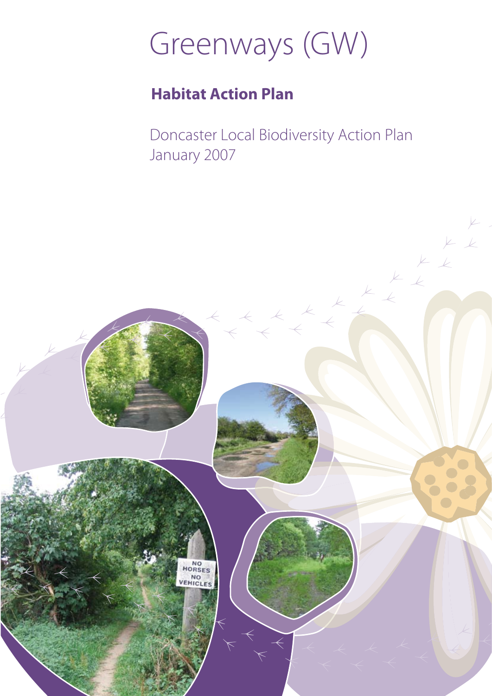# Greenways (GW)

## **Habitat Action Plan**

Doncaster Local Biodiversity Action Plan January 2007

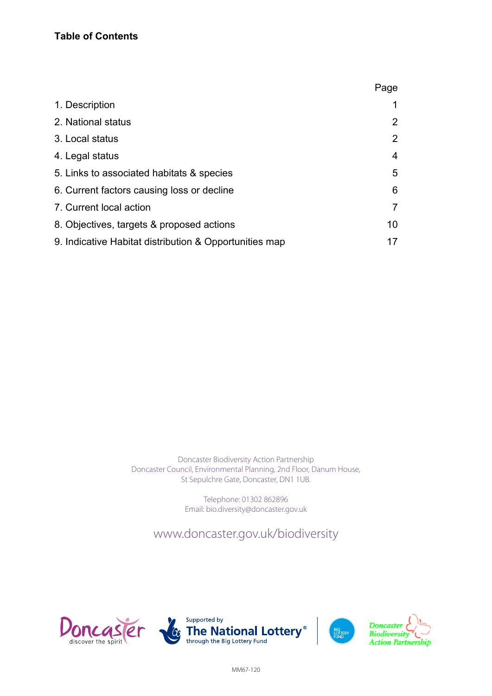|                                                        | Page |
|--------------------------------------------------------|------|
| 1. Description                                         |      |
| 2. National status                                     |      |
| 3. Local status                                        | 2    |
| 4. Legal status                                        | 4    |
| 5. Links to associated habitats & species              | 5    |
| 6. Current factors causing loss or decline             | 6    |
| 7. Current local action                                |      |
| 8. Objectives, targets & proposed actions              | 10   |
| 9. Indicative Habitat distribution & Opportunities map | 17   |

Doncaster Biodiversity Action Partnership Doncaster Council, Environmental Planning, 2nd Floor, Danum House, St Sepulchre Gate, Doncaster, DN1 1UB.

> Telephone: 01302 862896 Email: bio.diversity@doncaster.gov.uk

www.doncaster.gov.uk/biodiversity

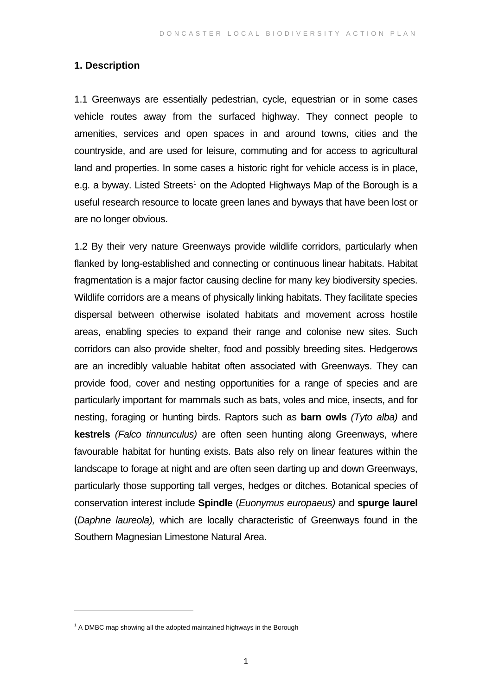#### <span id="page-2-0"></span>**1. Description**

1.1 Greenways are essentially pedestrian, cycle, equestrian or in some cases vehicle routes away from the surfaced highway. They connect people to amenities, services and open spaces in and around towns, cities and the countryside, and are used for leisure, commuting and for access to agricultural land and properties. In some cases a historic right for vehicle access is in place, e.g. a byway. Listed Streets<sup>[1](#page-2-0)</sup> on the Adopted Highways Map of the Borough is a useful research resource to locate green lanes and byways that have been lost or are no longer obvious.

1.2 By their very nature Greenways provide wildlife corridors, particularly when flanked by long-established and connecting or continuous linear habitats. Habitat fragmentation is a major factor causing decline for many key biodiversity species. Wildlife corridors are a means of physically linking habitats. They facilitate species dispersal between otherwise isolated habitats and movement across hostile areas, enabling species to expand their range and colonise new sites. Such corridors can also provide shelter, food and possibly breeding sites. Hedgerows are an incredibly valuable habitat often associated with Greenways. They can provide food, cover and nesting opportunities for a range of species and are particularly important for mammals such as bats, voles and mice, insects, and for nesting, foraging or hunting birds. Raptors such as **barn owls** *(Tyto alba)* and **kestrels** *(Falco tinnunculus)* are often seen hunting along Greenways, where favourable habitat for hunting exists. Bats also rely on linear features within the landscape to forage at night and are often seen darting up and down Greenways, particularly those supporting tall verges, hedges or ditches. Botanical species of conservation interest include **Spindle** (*Euonymus europaeus)* and **spurge laurel** (*Daphne laureola),* which are locally characteristic of Greenways found in the Southern Magnesian Limestone Natural Area.

 $\overline{a}$ 

 $1$  A DMBC map showing all the adopted maintained highways in the Borough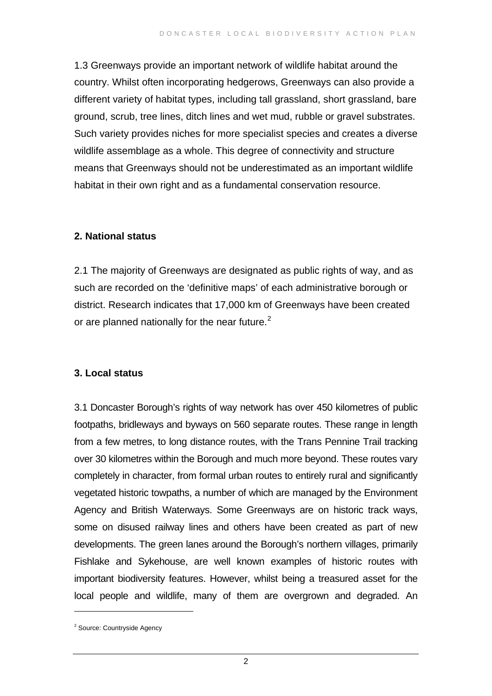1.3 Greenways provide an important network of wildlife habitat around the country. Whilst often incorporating hedgerows, Greenways can also provide a different variety of habitat types, including tall grassland, short grassland, bare ground, scrub, tree lines, ditch lines and wet mud, rubble or gravel substrates. Such variety provides niches for more specialist species and creates a diverse wildlife assemblage as a whole. This degree of connectivity and structure means that Greenways should not be underestimated as an important wildlife habitat in their own right and as a fundamental conservation resource.

#### **2. National status**

2.1 The majority of Greenways are designated as public rights of way, and as such are recorded on the 'definitive maps' of each administrative borough or district. Research indicates that 17,000 km of Greenways have been created or are planned nationally for the near future. $2$ 

#### **3. Local status**

3.1 Doncaster Borough's rights of way network has over 450 kilometres of public footpaths, bridleways and byways on 560 separate routes. These range in length from a few metres, to long distance routes, with the Trans Pennine Trail tracking over 30 kilometres within the Borough and much more beyond. These routes vary completely in character, from formal urban routes to entirely rural and significantly vegetated historic towpaths, a number of which are managed by the Environment Agency and British Waterways. Some Greenways are on historic track ways, some on disused railway lines and others have been created as part of new developments. The green lanes around the Borough's northern villages, primarily Fishlake and Sykehouse, are well known examples of historic routes with important biodiversity features. However, whilst being a treasured asset for the local people and wildlife, many of them are overgrown and degraded. An

 $\overline{a}$ 

<span id="page-3-0"></span><sup>&</sup>lt;sup>2</sup> Source: Countryside Agency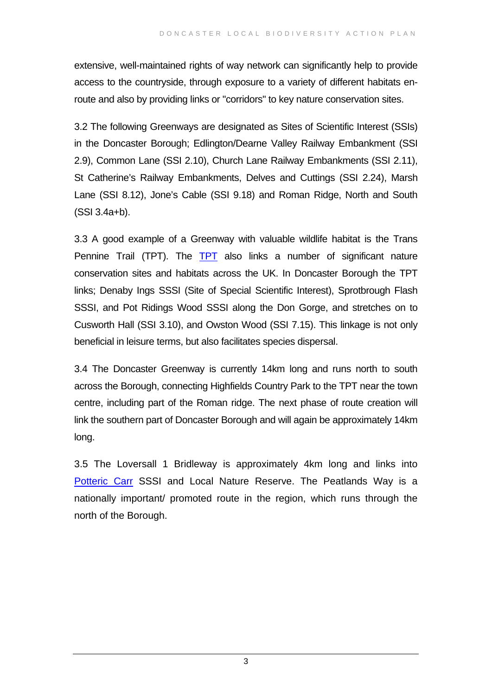extensive, well-maintained rights of way network can significantly help to provide access to the countryside, through exposure to a variety of different habitats enroute and also by providing links or "corridors" to key nature conservation sites.

3.2 The following Greenways are designated as Sites of Scientific Interest (SSIs) in the Doncaster Borough; Edlington/Dearne Valley Railway Embankment (SSI 2.9), Common Lane (SSI 2.10), Church Lane Railway Embankments (SSI 2.11), St Catherine's Railway Embankments, Delves and Cuttings (SSI 2.24), Marsh Lane (SSI 8.12), Jone's Cable (SSI 9.18) and Roman Ridge, North and South (SSI 3.4a+b).

3.3 A good example of a Greenway with valuable wildlife habitat is the Trans Pennine Trail ([TPT](http://www.transpenninetrail.org.uk/)). The TPT also links a number of significant nature conservation sites and habitats across the UK. In Doncaster Borough the TPT links; Denaby Ings SSSI (Site of Special Scientific Interest), Sprotbrough Flash SSSI, and Pot Ridings Wood SSSI along the Don Gorge, and stretches on to Cusworth Hall (SSI 3.10), and Owston Wood (SSI 7.15). This linkage is not only beneficial in leisure terms, but also facilitates species dispersal.

3.4 The Doncaster Greenway is currently 14km long and runs north to south across the Borough, connecting Highfields Country Park to the TPT near the town centre, including part of the Roman ridge. The next phase of route creation will link the southern part of Doncaster Borough and will again be approximately 14km long.

3.5 The Loversall 1 Bridleway is approximately 4km long and links into [Potteric Carr](http://www.yorkshire-wildlife-trust.org.uk/pottericCarrNatureReserve.htm) SSSI and Local Nature Reserve. The Peatlands Way is a nationally important/ promoted route in the region, which runs through the north of the Borough.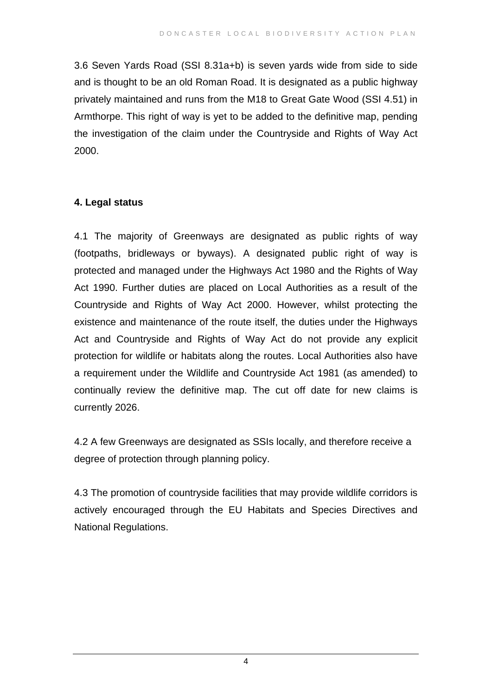3.6 Seven Yards Road (SSI 8.31a+b) is seven yards wide from side to side and is thought to be an old Roman Road. It is designated as a public highway privately maintained and runs from the M18 to Great Gate Wood (SSI 4.51) in Armthorpe. This right of way is yet to be added to the definitive map, pending the investigation of the claim under the Countryside and Rights of Way Act 2000.

#### **4. Legal status**

4.1 The majority of Greenways are designated as public rights of way (footpaths, bridleways or byways). A designated public right of way is protected and managed under the Highways Act 1980 and the Rights of Way Act 1990. Further duties are placed on Local Authorities as a result of the Countryside and Rights of Way Act 2000. However, whilst protecting the existence and maintenance of the route itself, the duties under the Highways Act and Countryside and Rights of Way Act do not provide any explicit protection for wildlife or habitats along the routes. Local Authorities also have a requirement under the Wildlife and Countryside Act 1981 (as amended) to continually review the definitive map. The cut off date for new claims is currently 2026.

4.2 A few Greenways are designated as SSIs locally, and therefore receive a degree of protection through planning policy.

4.3 The promotion of countryside facilities that may provide wildlife corridors is actively encouraged through the EU Habitats and Species Directives and National Regulations.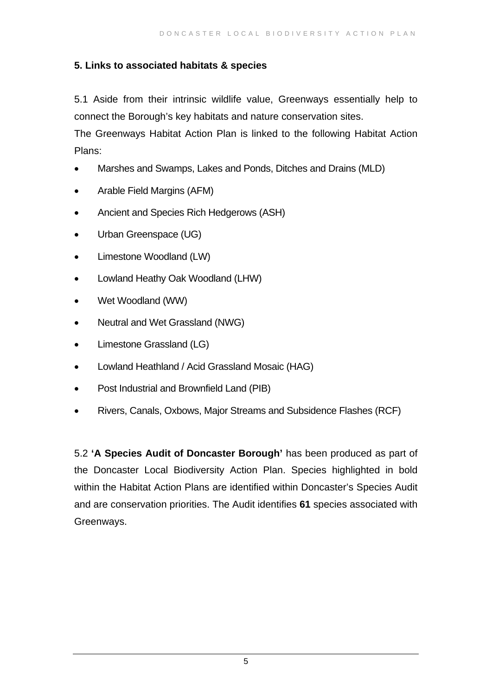#### **5. Links to associated habitats & species**

5.1 Aside from their intrinsic wildlife value, Greenways essentially help to connect the Borough's key habitats and nature conservation sites.

The Greenways Habitat Action Plan is linked to the following Habitat Action Plans:

- Marshes and Swamps, Lakes and Ponds, Ditches and Drains (MLD)
- Arable Field Margins (AFM)
- Ancient and Species Rich Hedgerows (ASH)
- Urban Greenspace (UG)
- Limestone Woodland (LW)
- Lowland Heathy Oak Woodland (LHW)
- Wet Woodland (WW)
- Neutral and Wet Grassland (NWG)
- Limestone Grassland (LG)
- Lowland Heathland / Acid Grassland Mosaic (HAG)
- Post Industrial and Brownfield Land (PIB)
- Rivers, Canals, Oxbows, Major Streams and Subsidence Flashes (RCF)

5.2 **'A Species Audit of Doncaster Borough'** has been produced as part of the Doncaster Local Biodiversity Action Plan. Species highlighted in bold within the Habitat Action Plans are identified within Doncaster's Species Audit and are conservation priorities. The Audit identifies **61** species associated with Greenways.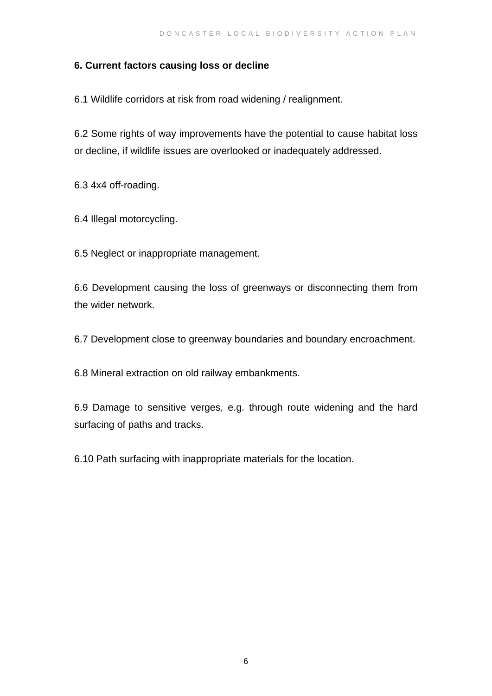#### **6. Current factors causing loss or decline**

6.1 Wildlife corridors at risk from road widening / realignment.

6.2 Some rights of way improvements have the potential to cause habitat loss or decline, if wildlife issues are overlooked or inadequately addressed.

6.3 4x4 off-roading.

6.4 Illegal motorcycling.

6.5 Neglect or inappropriate management.

6.6 Development causing the loss of greenways or disconnecting them from the wider network.

6.7 Development close to greenway boundaries and boundary encroachment.

6.8 Mineral extraction on old railway embankments.

6.9 Damage to sensitive verges, e.g. through route widening and the hard surfacing of paths and tracks.

6.10 Path surfacing with inappropriate materials for the location.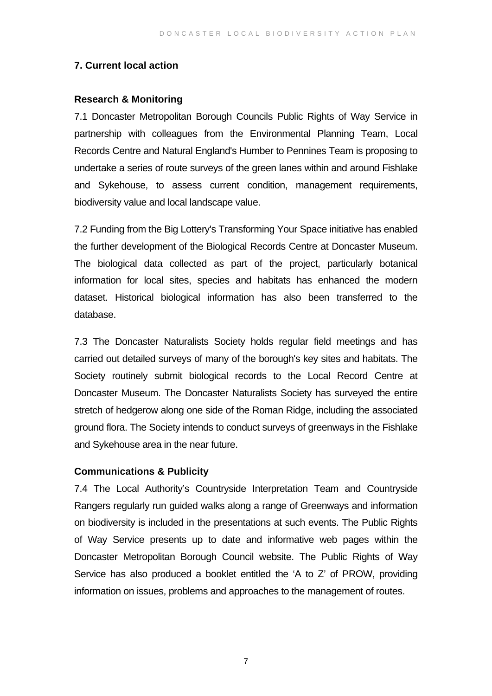#### **7. Current local action**

#### **Research & Monitoring**

7.1 Doncaster Metropolitan Borough Councils Public Rights of Way Service in partnership with colleagues from the Environmental Planning Team, Local Records Centre and Natural England's Humber to Pennines Team is proposing to undertake a series of route surveys of the green lanes within and around Fishlake and Sykehouse, to assess current condition, management requirements, biodiversity value and local landscape value.

7.2 Funding from the Big Lottery's Transforming Your Space initiative has enabled the further development of the Biological Records Centre at Doncaster Museum. The biological data collected as part of the project, particularly botanical information for local sites, species and habitats has enhanced the modern dataset. Historical biological information has also been transferred to the database.

7.3 The Doncaster Naturalists Society holds regular field meetings and has carried out detailed surveys of many of the borough's key sites and habitats. The Society routinely submit biological records to the Local Record Centre at Doncaster Museum. The Doncaster Naturalists Society has surveyed the entire stretch of hedgerow along one side of the Roman Ridge, including the associated ground flora. The Society intends to conduct surveys of greenways in the Fishlake and Sykehouse area in the near future.

#### **Communications & Publicity**

7.4 The Local Authority's Countryside Interpretation Team and Countryside Rangers regularly run guided walks along a range of Greenways and information on biodiversity is included in the presentations at such events. The Public Rights of Way Service presents up to date and informative web pages within the Doncaster Metropolitan Borough Council website. The Public Rights of Way Service has also produced a booklet entitled the 'A to Z' of PROW, providing information on issues, problems and approaches to the management of routes.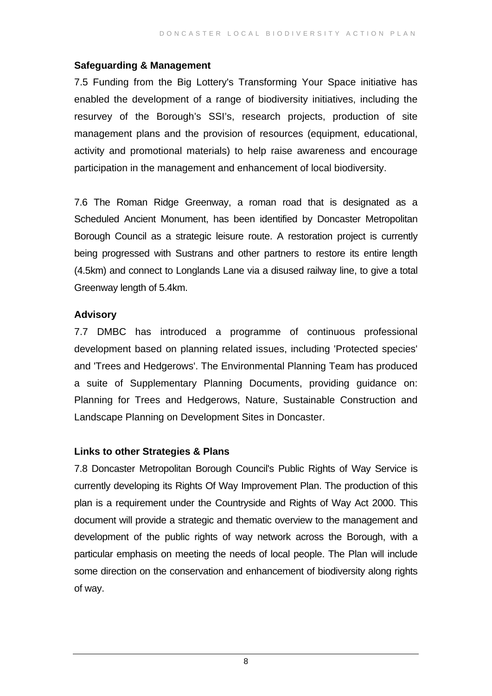#### **Safeguarding & Management**

7.5 Funding from the Big Lottery's Transforming Your Space initiative has enabled the development of a range of biodiversity initiatives, including the resurvey of the Borough's SSI's, research projects, production of site management plans and the provision of resources (equipment, educational, activity and promotional materials) to help raise awareness and encourage participation in the management and enhancement of local biodiversity.

7.6 The Roman Ridge Greenway, a roman road that is designated as a Scheduled Ancient Monument, has been identified by Doncaster Metropolitan Borough Council as a strategic leisure route. A restoration project is currently being progressed with Sustrans and other partners to restore its entire length (4.5km) and connect to Longlands Lane via a disused railway line, to give a total Greenway length of 5.4km.

#### **Advisory**

7.7 DMBC has introduced a programme of continuous professional development based on planning related issues, including 'Protected species' and 'Trees and Hedgerows'. The Environmental Planning Team has produced a suite of Supplementary Planning Documents, providing guidance on: Planning for Trees and Hedgerows, Nature, Sustainable Construction and Landscape Planning on Development Sites in Doncaster.

#### **Links to other Strategies & Plans**

7.8 Doncaster Metropolitan Borough Council's Public Rights of Way Service is currently developing its Rights Of Way Improvement Plan. The production of this plan is a requirement under the Countryside and Rights of Way Act 2000. This document will provide a strategic and thematic overview to the management and development of the public rights of way network across the Borough, with a particular emphasis on meeting the needs of local people. The Plan will include some direction on the conservation and enhancement of biodiversity along rights of way.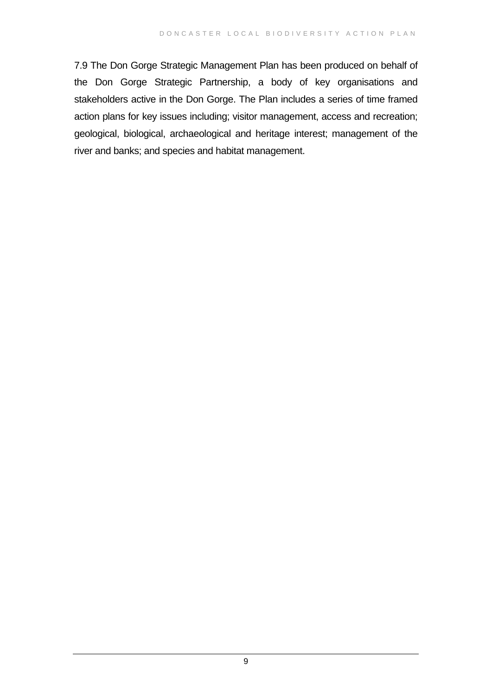7.9 The Don Gorge Strategic Management Plan has been produced on behalf of the Don Gorge Strategic Partnership, a body of key organisations and stakeholders active in the Don Gorge. The Plan includes a series of time framed action plans for key issues including; visitor management, access and recreation; geological, biological, archaeological and heritage interest; management of the river and banks; and species and habitat management.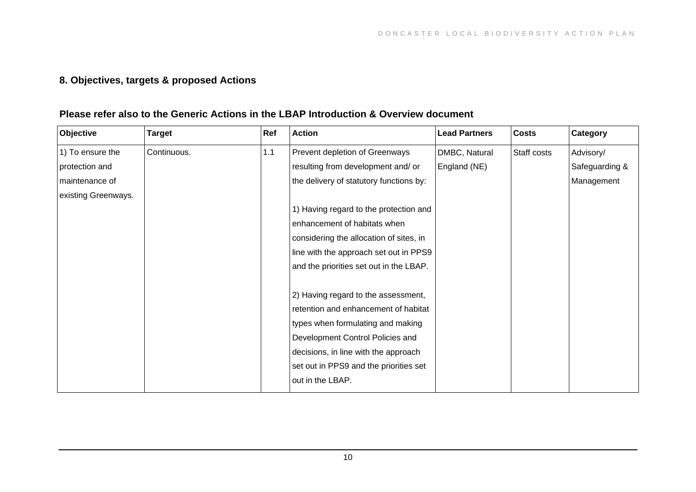### **8. Objectives, targets & proposed Actions**

#### **Please refer also to the Generic Actions in the LBAP Introduction & Overview document**

| Objective           | <b>Target</b> | Ref | <b>Action</b>                           | <b>Lead Partners</b> | <b>Costs</b> | Category       |
|---------------------|---------------|-----|-----------------------------------------|----------------------|--------------|----------------|
| 1) To ensure the    | Continuous.   | 1.1 | Prevent depletion of Greenways          | DMBC, Natural        | Staff costs  | Advisory/      |
| protection and      |               |     | resulting from development and/ or      | England (NE)         |              | Safeguarding & |
| maintenance of      |               |     | the delivery of statutory functions by: |                      |              | Management     |
| existing Greenways. |               |     |                                         |                      |              |                |
|                     |               |     | 1) Having regard to the protection and  |                      |              |                |
|                     |               |     | enhancement of habitats when            |                      |              |                |
|                     |               |     | considering the allocation of sites, in |                      |              |                |
|                     |               |     | line with the approach set out in PPS9  |                      |              |                |
|                     |               |     | and the priorities set out in the LBAP. |                      |              |                |
|                     |               |     |                                         |                      |              |                |
|                     |               |     | 2) Having regard to the assessment,     |                      |              |                |
|                     |               |     | retention and enhancement of habitat    |                      |              |                |
|                     |               |     | types when formulating and making       |                      |              |                |
|                     |               |     | Development Control Policies and        |                      |              |                |
|                     |               |     | decisions, in line with the approach    |                      |              |                |
|                     |               |     | set out in PPS9 and the priorities set  |                      |              |                |
|                     |               |     | out in the LBAP.                        |                      |              |                |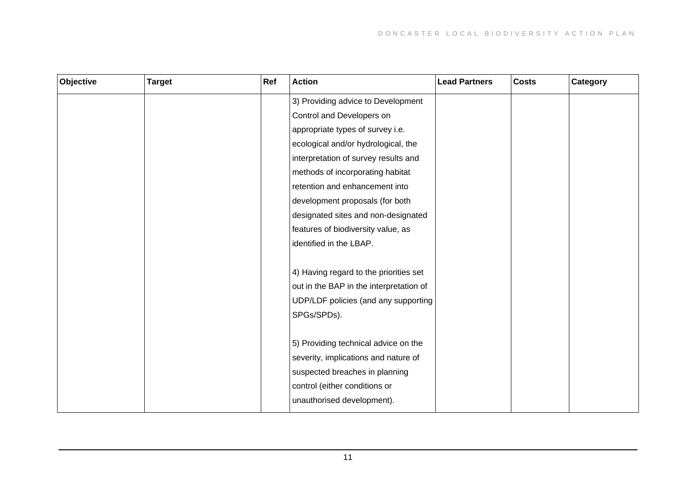| Objective | <b>Target</b> | Ref | <b>Action</b>                           | <b>Lead Partners</b> | <b>Costs</b> | Category |
|-----------|---------------|-----|-----------------------------------------|----------------------|--------------|----------|
|           |               |     | 3) Providing advice to Development      |                      |              |          |
|           |               |     | Control and Developers on               |                      |              |          |
|           |               |     | appropriate types of survey i.e.        |                      |              |          |
|           |               |     | ecological and/or hydrological, the     |                      |              |          |
|           |               |     | interpretation of survey results and    |                      |              |          |
|           |               |     | methods of incorporating habitat        |                      |              |          |
|           |               |     | retention and enhancement into          |                      |              |          |
|           |               |     | development proposals (for both         |                      |              |          |
|           |               |     | designated sites and non-designated     |                      |              |          |
|           |               |     | features of biodiversity value, as      |                      |              |          |
|           |               |     | identified in the LBAP.                 |                      |              |          |
|           |               |     |                                         |                      |              |          |
|           |               |     | 4) Having regard to the priorities set  |                      |              |          |
|           |               |     | out in the BAP in the interpretation of |                      |              |          |
|           |               |     | UDP/LDF policies (and any supporting    |                      |              |          |
|           |               |     | SPGs/SPDs).                             |                      |              |          |
|           |               |     |                                         |                      |              |          |
|           |               |     | 5) Providing technical advice on the    |                      |              |          |
|           |               |     | severity, implications and nature of    |                      |              |          |
|           |               |     | suspected breaches in planning          |                      |              |          |
|           |               |     | control (either conditions or           |                      |              |          |
|           |               |     | unauthorised development).              |                      |              |          |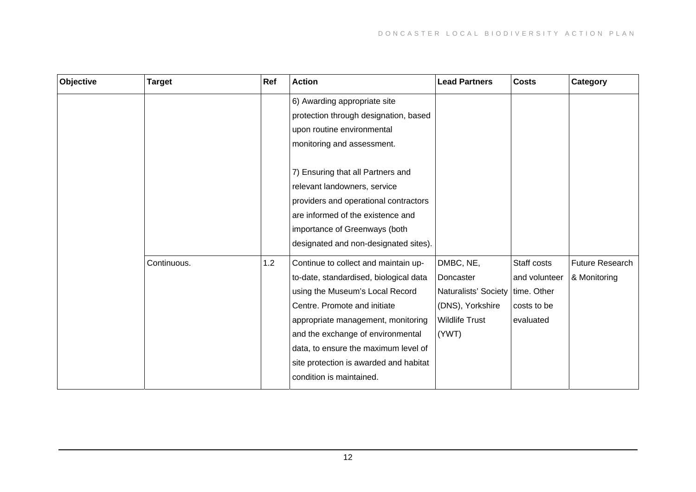| Objective | <b>Target</b> | Ref | <b>Action</b>                          | <b>Lead Partners</b>  | <b>Costs</b>  | Category               |
|-----------|---------------|-----|----------------------------------------|-----------------------|---------------|------------------------|
|           |               |     | 6) Awarding appropriate site           |                       |               |                        |
|           |               |     | protection through designation, based  |                       |               |                        |
|           |               |     | upon routine environmental             |                       |               |                        |
|           |               |     | monitoring and assessment.             |                       |               |                        |
|           |               |     | 7) Ensuring that all Partners and      |                       |               |                        |
|           |               |     | relevant landowners, service           |                       |               |                        |
|           |               |     | providers and operational contractors  |                       |               |                        |
|           |               |     | are informed of the existence and      |                       |               |                        |
|           |               |     | importance of Greenways (both          |                       |               |                        |
|           |               |     | designated and non-designated sites).  |                       |               |                        |
|           | Continuous.   | 1.2 | Continue to collect and maintain up-   | DMBC, NE,             | Staff costs   | <b>Future Research</b> |
|           |               |     | to-date, standardised, biological data | Doncaster             | and volunteer | & Monitoring           |
|           |               |     | using the Museum's Local Record        | Naturalists' Society  | time. Other   |                        |
|           |               |     | Centre. Promote and initiate           | (DNS), Yorkshire      | costs to be   |                        |
|           |               |     | appropriate management, monitoring     | <b>Wildlife Trust</b> | evaluated     |                        |
|           |               |     | and the exchange of environmental      | (YWT)                 |               |                        |
|           |               |     | data, to ensure the maximum level of   |                       |               |                        |
|           |               |     | site protection is awarded and habitat |                       |               |                        |
|           |               |     | condition is maintained.               |                       |               |                        |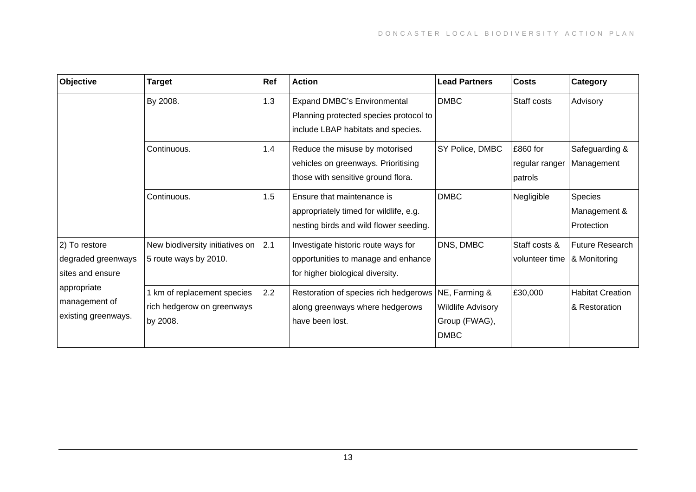| Objective                                                                                                      | Target                                                              | Ref | <b>Action</b>                                                                                                      | <b>Lead Partners</b>                                                      | <b>Costs</b>                          | Category                                 |
|----------------------------------------------------------------------------------------------------------------|---------------------------------------------------------------------|-----|--------------------------------------------------------------------------------------------------------------------|---------------------------------------------------------------------------|---------------------------------------|------------------------------------------|
| 2) To restore<br>degraded greenways<br>sites and ensure<br>appropriate<br>management of<br>existing greenways. | By 2008.                                                            | 1.3 | <b>Expand DMBC's Environmental</b><br>Planning protected species protocol to<br>include LBAP habitats and species. | <b>DMBC</b>                                                               | Staff costs                           | Advisory                                 |
|                                                                                                                | Continuous.                                                         | 1.4 | Reduce the misuse by motorised<br>vehicles on greenways. Prioritising<br>those with sensitive ground flora.        | SY Police, DMBC                                                           | £860 for<br>regular ranger<br>patrols | Safeguarding &<br>Management             |
|                                                                                                                | Continuous.                                                         | 1.5 | Ensure that maintenance is<br>appropriately timed for wildlife, e.g.<br>nesting birds and wild flower seeding.     | <b>DMBC</b>                                                               | Negligible                            | Species<br>Management &<br>Protection    |
|                                                                                                                | New biodiversity initiatives on<br>5 route ways by 2010.            | 2.1 | Investigate historic route ways for<br>opportunities to manage and enhance<br>for higher biological diversity.     | DNS, DMBC                                                                 | Staff costs &<br>volunteer time       | Future Research<br>& Monitoring          |
|                                                                                                                | km of replacement species<br>rich hedgerow on greenways<br>by 2008. | 2.2 | Restoration of species rich hedgerows<br>along greenways where hedgerows<br>have been lost.                        | NE, Farming &<br><b>Wildlife Advisory</b><br>Group (FWAG),<br><b>DMBC</b> | £30,000                               | <b>Habitat Creation</b><br>& Restoration |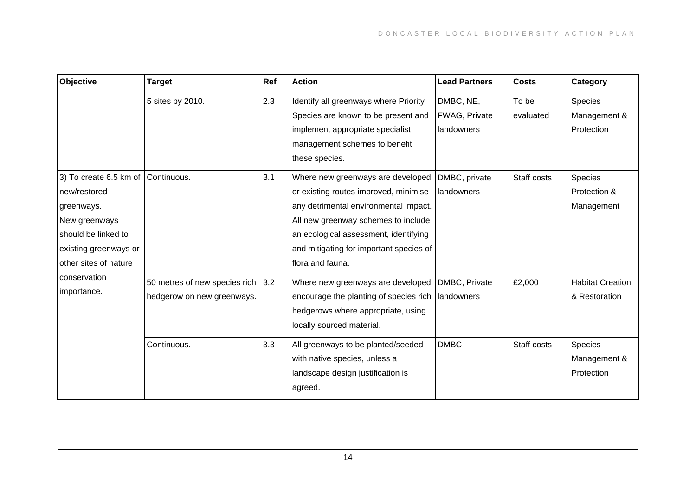| 2.3<br>DMBC, NE,<br>5 sites by 2010.<br>Identify all greenways where Priority<br>To be<br><b>Species</b><br>FWAG, Private<br>Species are known to be present and<br>evaluated | Management &            |
|-------------------------------------------------------------------------------------------------------------------------------------------------------------------------------|-------------------------|
| implement appropriate specialist<br>landowners<br>Protection                                                                                                                  |                         |
| management schemes to benefit                                                                                                                                                 |                         |
| these species.                                                                                                                                                                |                         |
| 3.1<br>Species<br>3) To create 6.5 km of Continuous.<br>Where new greenways are developed<br>DMBC, private<br>Staff costs                                                     |                         |
| Protection &<br>or existing routes improved, minimise<br>landowners<br>new/restored                                                                                           |                         |
| any detrimental environmental impact.<br>Management<br>greenways.                                                                                                             |                         |
| All new greenway schemes to include<br>New greenways                                                                                                                          |                         |
| should be linked to<br>an ecological assessment, identifying                                                                                                                  |                         |
| and mitigating for important species of<br>existing greenways or                                                                                                              |                         |
| other sites of nature<br>flora and fauna.                                                                                                                                     |                         |
| conservation<br>£2,000<br>50 metres of new species rich<br>3.2<br>DMBC, Private<br>Where new greenways are developed                                                          | <b>Habitat Creation</b> |
| importance.<br>hedgerow on new greenways.<br>encourage the planting of species rich<br>landowners<br>& Restoration                                                            |                         |
| hedgerows where appropriate, using                                                                                                                                            |                         |
| locally sourced material.                                                                                                                                                     |                         |
| 3.3<br><b>DMBC</b><br>Continuous.<br>Staff costs<br>Species<br>All greenways to be planted/seeded                                                                             |                         |
| with native species, unless a                                                                                                                                                 | Management &            |
| Protection<br>landscape design justification is                                                                                                                               |                         |
| agreed.                                                                                                                                                                       |                         |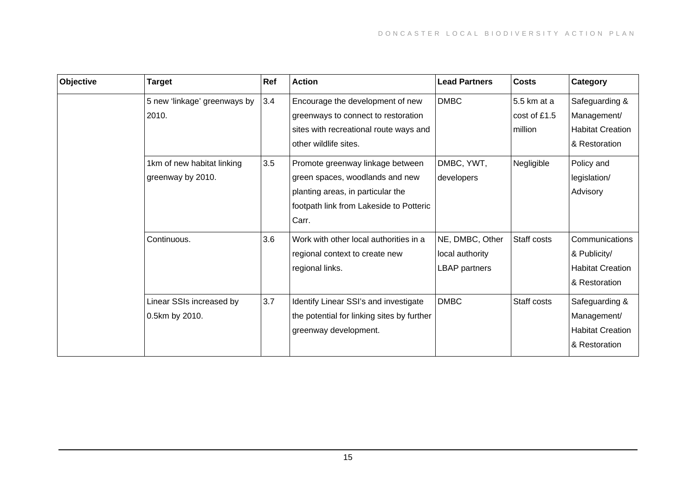| Objective | Target                                          | Ref | <b>Action</b>                                                                                                                                                | <b>Lead Partners</b>                                | <b>Costs</b>                           | Category                                                                   |
|-----------|-------------------------------------------------|-----|--------------------------------------------------------------------------------------------------------------------------------------------------------------|-----------------------------------------------------|----------------------------------------|----------------------------------------------------------------------------|
|           | 5 new 'linkage' greenways by<br>2010.           | 3.4 | Encourage the development of new<br>greenways to connect to restoration<br>sites with recreational route ways and<br>other wildlife sites.                   | <b>DMBC</b>                                         | 5.5 km at a<br>cost of £1.5<br>million | Safeguarding &<br>Management/<br><b>Habitat Creation</b><br>& Restoration  |
|           | 1km of new habitat linking<br>greenway by 2010. | 3.5 | Promote greenway linkage between<br>green spaces, woodlands and new<br>planting areas, in particular the<br>footpath link from Lakeside to Potteric<br>Carr. | DMBC, YWT,<br>developers                            | Negligible                             | Policy and<br>legislation/<br>Advisory                                     |
|           | Continuous.                                     | 3.6 | Work with other local authorities in a<br>regional context to create new<br>regional links.                                                                  | NE, DMBC, Other<br>local authority<br>LBAP partners | Staff costs                            | Communications<br>& Publicity/<br><b>Habitat Creation</b><br>& Restoration |
|           | Linear SSIs increased by<br>0.5km by 2010.      | 3.7 | Identify Linear SSI's and investigate<br>the potential for linking sites by further<br>greenway development.                                                 | <b>DMBC</b>                                         | Staff costs                            | Safeguarding &<br>Management/<br><b>Habitat Creation</b><br>& Restoration  |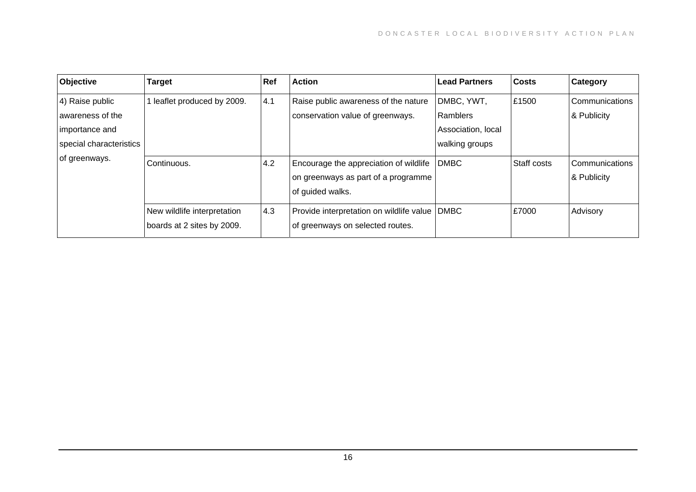| Objective               | <b>Target</b>                                             | Ref | <b>Action</b>                                                                                     | <b>Lead Partners</b> | Costs       | Category                      |
|-------------------------|-----------------------------------------------------------|-----|---------------------------------------------------------------------------------------------------|----------------------|-------------|-------------------------------|
| 4) Raise public         | leaflet produced by 2009.                                 | 4.1 | Raise public awareness of the nature                                                              | DMBC, YWT,           | £1500       | Communications                |
| awareness of the        |                                                           |     | conservation value of greenways.                                                                  | l Ramblers           |             | & Publicity                   |
| importance and          |                                                           |     |                                                                                                   | Association, local   |             |                               |
| special characteristics |                                                           |     |                                                                                                   | walking groups       |             |                               |
| of greenways.           | Continuous.                                               | 4.2 | Encourage the appreciation of wildlife<br>on greenways as part of a programme<br>of guided walks. | <b>DMBC</b>          | Staff costs | Communications<br>& Publicity |
|                         | New wildlife interpretation<br>boards at 2 sites by 2009. | 4.3 | Provide interpretation on wildlife value<br>of greenways on selected routes.                      | <b>DMBC</b>          | £7000       | Advisory                      |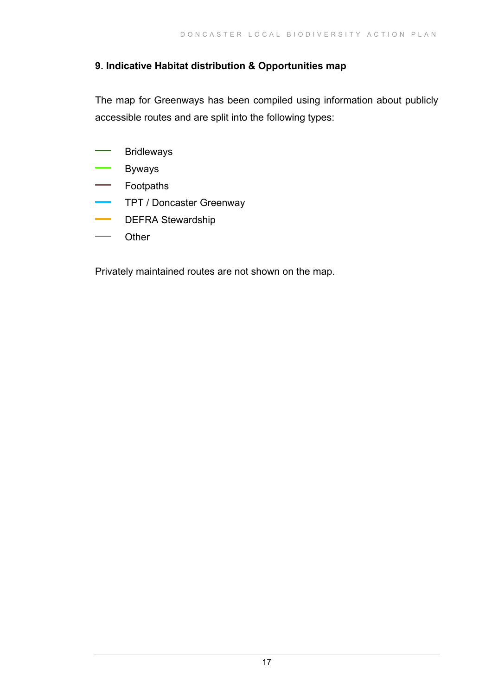#### **9. Indicative Habitat distribution & Opportunities map**

The map for Greenways has been compiled using information about publicly accessible routes and are split into the following types:

- ÷, Bridleways
- Byways ÷.
- Footpaths  $\sim$
- $\mathbf{r}$ TPT / Doncaster Greenway
- DEFRA Stewardship
- Other

Privately maintained routes are not shown on the map.